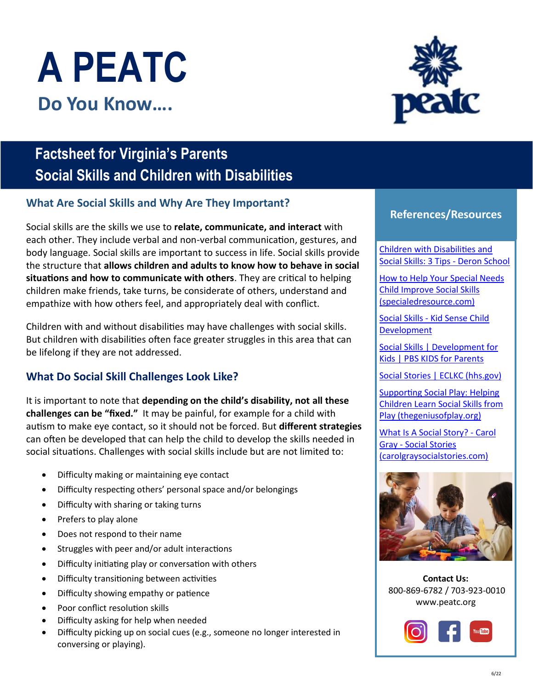# **A PEATC Do You Know….**

# **Factsheet for Virginia's Parents Social Skills and Children with Disabilities**

## **What Are Social Skills and Why Are They Important?**

Social skills are the skills we use to **relate, communicate, and interact** with each other. They include verbal and non-verbal communication, gestures, and body language. Social skills are important to success in life. Social skills provide the structure that **allows children and adults to know how to behave in social situations and how to communicate with others**. They are critical to helping children make friends, take turns, be considerate of others, understand and empathize with how others feel, and appropriately deal with conflict.

Children with and without disabilities may have challenges with social skills. But children with disabilities often face greater struggles in this area that can be lifelong if they are not addressed.

## **What Do Social Skill Challenges Look Like?**

It is important to note that **depending on the child's disability, not all these challenges can be "fixed."** It may be painful, for example for a child with autism to make eye contact, so it should not be forced. But **different strategies** can often be developed that can help the child to develop the skills needed in social situations. Challenges with social skills include but are not limited to:

- Difficulty making or maintaining eye contact
- Difficulty respecting others' personal space and/or belongings
- Difficulty with sharing or taking turns
- Prefers to play alone
- Does not respond to their name
- Struggles with peer and/or adult interactions
- Difficulty initiating play or conversation with others
- Difficulty transitioning between activities
- Difficulty showing empathy or patience
- Poor conflict resolution skills
- Difficulty asking for help when needed
- Difficulty picking up on social cues (e.g., someone no longer interested in conversing or playing).



#### **References/Resources**

Children with Disabilities and [Social Skills: 3 Tips - Deron School](https://www.deronschool.org/tips/children-disabilities-social-skills-3-tips/)

[How to Help Your Special Needs](https://specialedresource.com/help-your-special-needs-child-improve-social-skills)  Child Improve Social Skills (specialedresource.com)

[Social Skills - Kid Sense Child](https://childdevelopment.com.au/areas-of-concern/play-and-social-skills/social-skills/#:~:text=Social%20skills%20are%20the%20skills,facial%20expression%20and%20body%20language.)  Development

[Social Skills | Development for](https://www.pbs.org/parents/learn-grow/all-ages/social-skills)  Kids | PBS KIDS for Parents

[Social Stories | ECLKC \(hhs.gov\)](https://eclkc.ohs.acf.hhs.gov/children-disabilities/article/social-stories)

Supporting Social Play: Helping [Children Learn Social Skills from](https://thegeniusofplay.org/genius/expert-advice/articles/supporting-social-play-helping-children-learn-social-skills-from-play.aspx#.YmgoTovMKUl)  Play (thegeniusofplay.org)

[What Is A Social Story? - Carol](https://carolgraysocialstories.com/social-stories/what-is-it/)  Gray - Social Stories (carolgraysocialstories.com)



**Contact Us:**  800-869-6782 / 703-923-0010 [www.peatc.org](https://peatc.org/)